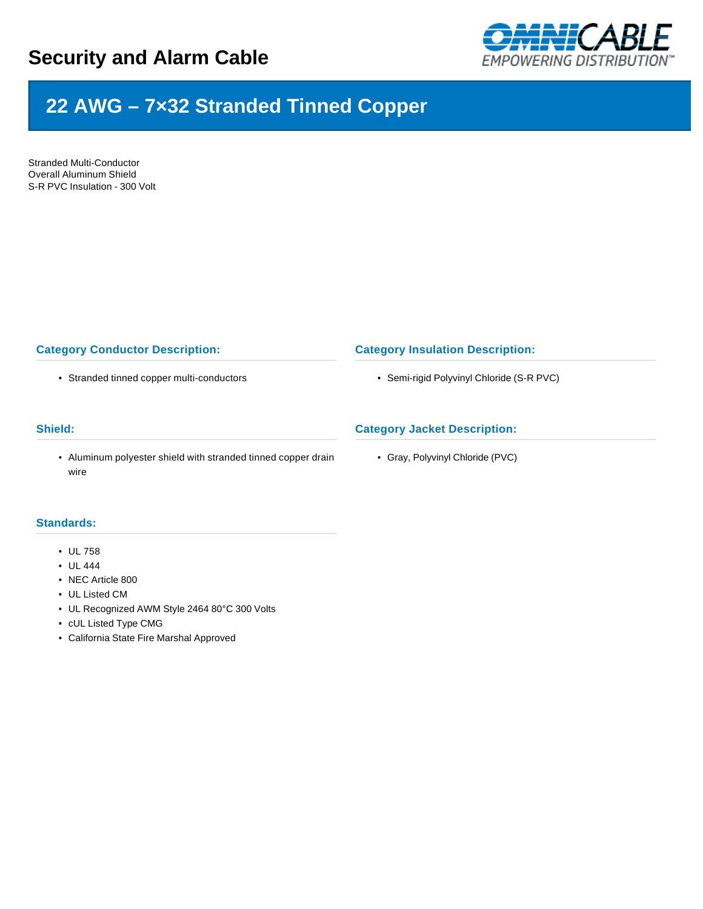

# **22 AWG – 7×32 Stranded Tinned Copper**

Stranded Multi-Conductor Overall Aluminum Shield S-R PVC Insulation - 300 Volt

## **Category Conductor Description:**

• Stranded tinned copper multi-conductors

### **Shield:**

• Aluminum polyester shield with stranded tinned copper drain wire

# **Standards:**

- UL 758
- UL 444
- NEC Article 800
- UL Listed CM
- UL Recognized AWM Style 2464 80°C 300 Volts
- cUL Listed Type CMG
- California State Fire Marshal Approved

### **Category Insulation Description:**

• Semi-rigid Polyvinyl Chloride (S-R PVC)

## **Category Jacket Description:**

• Gray, Polyvinyl Chloride (PVC)